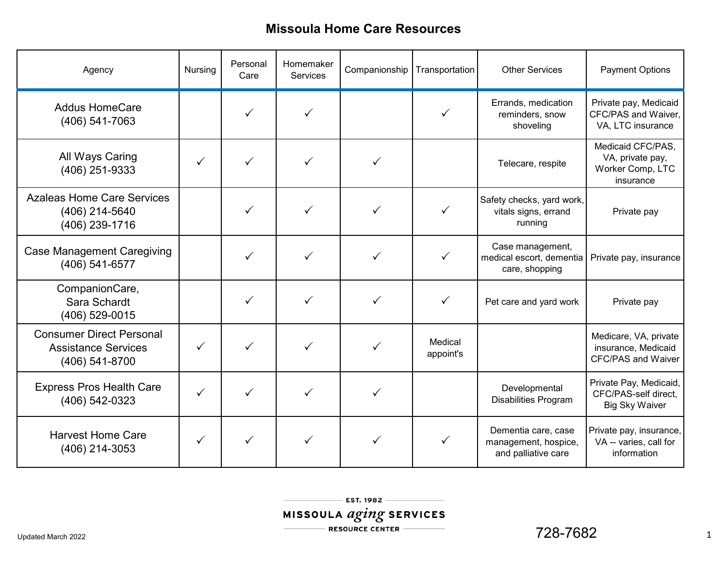| Agency                                                                          | Nursing      | Personal<br>Care | Homemaker<br><b>Services</b> | Companionship | Transportation       | <b>Other Services</b>                                              | <b>Payment Options</b>                                                    |
|---------------------------------------------------------------------------------|--------------|------------------|------------------------------|---------------|----------------------|--------------------------------------------------------------------|---------------------------------------------------------------------------|
| <b>Addus HomeCare</b><br>(406) 541-7063                                         |              | $\checkmark$     | ✓                            |               | ✓                    | Errands, medication<br>reminders, snow<br>shoveling                | Private pay, Medicaid<br>CFC/PAS and Waiver,<br>VA, LTC insurance         |
| <b>All Ways Caring</b><br>(406) 251-9333                                        |              | ✓                | ✓                            |               |                      | Telecare, respite                                                  | Medicaid CFC/PAS,<br>VA, private pay,<br>Worker Comp, LTC<br>insurance    |
| <b>Azaleas Home Care Services</b><br>(406) 214-5640<br>(406) 239-1716           |              | $\checkmark$     | ✓                            | $\checkmark$  | $\checkmark$         | Safety checks, yard work,<br>vitals signs, errand<br>running       | Private pay                                                               |
| <b>Case Management Caregiving</b><br>(406) 541-6577                             |              | ✓                | ✓                            | ✓             | $\checkmark$         | Case management,<br>medical escort, dementia<br>care, shopping     | Private pay, insurance                                                    |
| CompanionCare,<br>Sara Schardt<br>(406) 529-0015                                |              | $\checkmark$     | ✓                            | ✓             | $\checkmark$         | Pet care and yard work                                             | Private pay                                                               |
| <b>Consumer Direct Personal</b><br><b>Assistance Services</b><br>(406) 541-8700 | $\checkmark$ | $\checkmark$     | ✓                            | ✓             | Medical<br>appoint's |                                                                    | Medicare, VA, private<br>insurance, Medicaid<br><b>CFC/PAS and Waiver</b> |
| <b>Express Pros Health Care</b><br>(406) 542-0323                               | $\checkmark$ | $\checkmark$     | ✓                            | ✓             |                      | Developmental<br><b>Disabilities Program</b>                       | Private Pay, Medicaid,<br>CFC/PAS-self direct,<br><b>Big Sky Waiver</b>   |
| <b>Harvest Home Care</b><br>(406) 214-3053                                      | ✓            |                  |                              | $\checkmark$  |                      | Dementia care, case<br>management, hospice,<br>and palliative care | Private pay, insurance,<br>VA -- varies, call for<br>information          |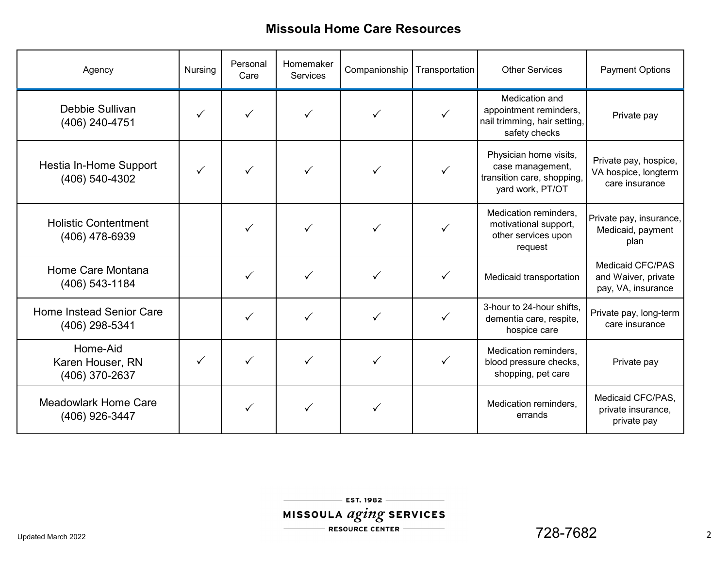| Agency                                         | Nursing | Personal<br>Care | Homemaker<br><b>Services</b> | Companionship | Transportation | <b>Other Services</b>                                                                        | <b>Payment Options</b>                                               |
|------------------------------------------------|---------|------------------|------------------------------|---------------|----------------|----------------------------------------------------------------------------------------------|----------------------------------------------------------------------|
| Debbie Sullivan<br>(406) 240-4751              | ✓       |                  |                              |               | ✓              | Medication and<br>appointment reminders,<br>nail trimming, hair setting,<br>safety checks    | Private pay                                                          |
| Hestia In-Home Support<br>(406) 540-4302       |         |                  |                              |               |                | Physician home visits,<br>case management,<br>transition care, shopping,<br>yard work, PT/OT | Private pay, hospice,<br>VA hospice, longterm<br>care insurance      |
| <b>Holistic Contentment</b><br>(406) 478-6939  |         |                  |                              |               |                | Medication reminders,<br>motivational support,<br>other services upon<br>request             | Private pay, insurance,<br>Medicaid, payment<br>plan                 |
| Home Care Montana<br>$(406)$ 543-1184          |         |                  |                              | ✓             | ✓              | Medicaid transportation                                                                      | <b>Medicaid CFC/PAS</b><br>and Waiver, private<br>pay, VA, insurance |
| Home Instead Senior Care<br>(406) 298-5341     |         |                  |                              |               | ✓              | 3-hour to 24-hour shifts,<br>dementia care, respite,<br>hospice care                         | Private pay, long-term<br>care insurance                             |
| Home-Aid<br>Karen Houser, RN<br>(406) 370-2637 | ✓       | ✓                |                              |               |                | Medication reminders,<br>blood pressure checks,<br>shopping, pet care                        | Private pay                                                          |
| <b>Meadowlark Home Care</b><br>(406) 926-3447  |         | ✓                |                              |               |                | Medication reminders,<br>errands                                                             | Medicaid CFC/PAS,<br>private insurance,<br>private pay               |

EST. 1982 -MISSOULA *aging* SERVICES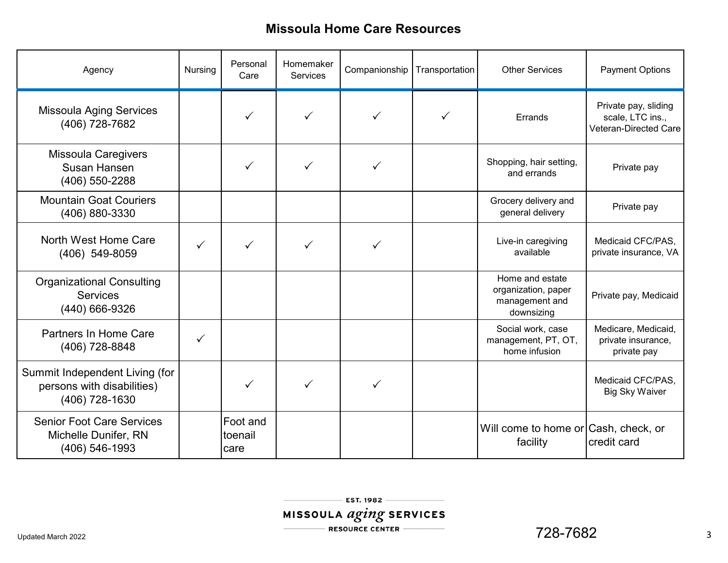| Agency                                                                         | <b>Nursing</b> | Personal<br>Care            | Homemaker<br><b>Services</b> | Companionship | Transportation | <b>Other Services</b>                                                  | <b>Payment Options</b>                                                   |
|--------------------------------------------------------------------------------|----------------|-----------------------------|------------------------------|---------------|----------------|------------------------------------------------------------------------|--------------------------------------------------------------------------|
| <b>Missoula Aging Services</b><br>(406) 728-7682                               |                |                             |                              |               |                | Errands                                                                | Private pay, sliding<br>scale, LTC ins.,<br><b>Veteran-Directed Care</b> |
| <b>Missoula Caregivers</b><br><b>Susan Hansen</b><br>(406) 550-2288            |                | ✓                           | ✓                            | ✓             |                | Shopping, hair setting,<br>and errands                                 | Private pay                                                              |
| <b>Mountain Goat Couriers</b><br>(406) 880-3330                                |                |                             |                              |               |                | Grocery delivery and<br>general delivery                               | Private pay                                                              |
| North West Home Care<br>(406) 549-8059                                         | $\checkmark$   |                             | ✓                            | $\checkmark$  |                | Live-in caregiving<br>available                                        | Medicaid CFC/PAS,<br>private insurance, VA                               |
| <b>Organizational Consulting</b><br><b>Services</b><br>(440) 666-9326          |                |                             |                              |               |                | Home and estate<br>organization, paper<br>management and<br>downsizing | Private pay, Medicaid                                                    |
| Partners In Home Care<br>(406) 728-8848                                        | $\checkmark$   |                             |                              |               |                | Social work, case<br>management, PT, OT,<br>home infusion              | Medicare, Medicaid,<br>private insurance,<br>private pay                 |
| Summit Independent Living (for<br>persons with disabilities)<br>(406) 728-1630 |                | ✓                           | ✓                            | ✓             |                |                                                                        | Medicaid CFC/PAS,<br><b>Big Sky Waiver</b>                               |
| <b>Senior Foot Care Services</b><br>Michelle Dunifer, RN<br>(406) 546-1993     |                | Foot and<br>toenail<br>care |                              |               |                | Will come to home or Cash, check, or<br>facility                       | credit card                                                              |